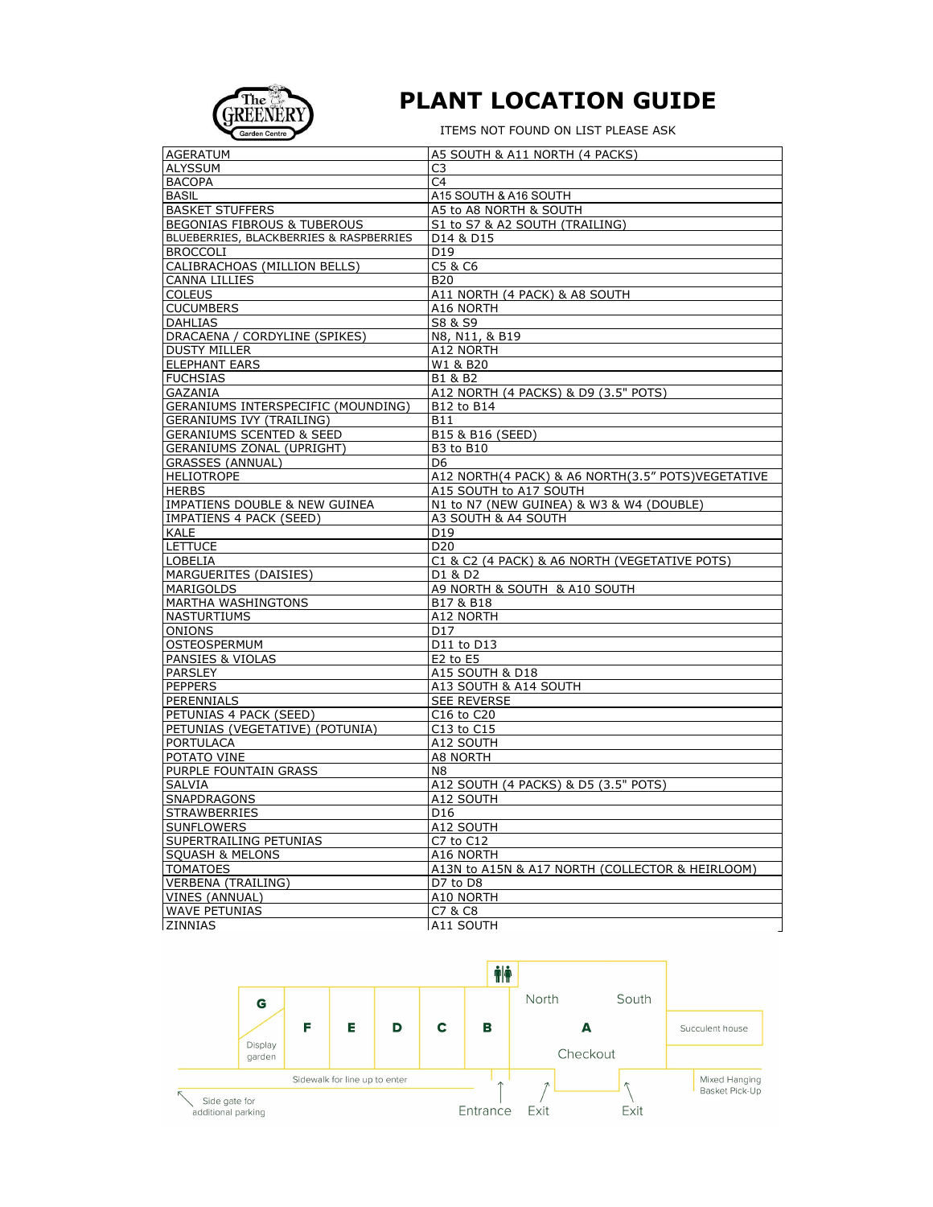

## **PLANT LOCATION GUIDE**

ITEMS NOT FOUND ON LIST PLEASE ASK

| <b>AGERATUM</b>                          | A5 SOUTH & A11 NORTH (4 PACKS)                    |  |
|------------------------------------------|---------------------------------------------------|--|
| <b>ALYSSUM</b>                           | C <sub>3</sub>                                    |  |
| <b>BACOPA</b>                            | C <sub>4</sub>                                    |  |
| <b>BASIL</b>                             | A15 SOUTH & A16 SOUTH                             |  |
| <b>BASKET STUFFERS</b>                   | A5 to A8 NORTH & SOUTH                            |  |
| BEGONIAS FIBROUS & TUBEROUS              | S1 to S7 & A2 SOUTH (TRAILING)                    |  |
| BLUEBERRIES, BLACKBERRIES & RASPBERRIES  | D14 & D15                                         |  |
| <b>BROCCOLI</b>                          | D19                                               |  |
| CALIBRACHOAS (MILLION BELLS)             | C5 & C6                                           |  |
| <b>CANNA LILLIES</b>                     | <b>B20</b>                                        |  |
| <b>COLEUS</b>                            | A11 NORTH (4 PACK) & A8 SOUTH                     |  |
| <b>CUCUMBERS</b>                         | A16 NORTH                                         |  |
| <b>DAHLIAS</b>                           | S8 & S9                                           |  |
| DRACAENA / CORDYLINE (SPIKES)            | N8, N11, & B19                                    |  |
| <b>DUSTY MILLER</b>                      |                                                   |  |
|                                          | A12 NORTH                                         |  |
| <b>ELEPHANT EARS</b>                     | W1 & B20                                          |  |
| <b>FUCHSIAS</b>                          | B1 & B2                                           |  |
| <b>GAZANIA</b>                           | A12 NORTH (4 PACKS) & D9 (3.5" POTS)              |  |
| GERANIUMS INTERSPECIFIC (MOUNDING)       | B12 to B14                                        |  |
| <b>GERANIUMS IVY (TRAILING)</b>          | <b>B11</b>                                        |  |
| <b>GERANIUMS SCENTED &amp; SEED</b>      | B15 & B16 (SEED)                                  |  |
| GERANIUMS ZONAL (UPRIGHT)                | <b>B3 to B10</b>                                  |  |
| <b>GRASSES (ANNUAL)</b>                  | D6                                                |  |
| <b>HELIOTROPE</b>                        | A12 NORTH(4 PACK) & A6 NORTH(3.5" POTS)VEGETATIVE |  |
| <b>HERBS</b>                             | A15 SOUTH to A17 SOUTH                            |  |
| <b>IMPATIENS DOUBLE &amp; NEW GUINEA</b> | N1 to N7 (NEW GUINEA) & W3 & W4 (DOUBLE)          |  |
| IMPATIENS 4 PACK (SEED)                  | A3 SOUTH & A4 SOUTH                               |  |
| <b>KALE</b>                              | D <sub>19</sub>                                   |  |
| <b>LETTUCE</b>                           | D <sub>20</sub>                                   |  |
| <b>LOBELIA</b>                           | C1 & C2 (4 PACK) & A6 NORTH (VEGETATIVE POTS)     |  |
| MARGUERITES (DAISIES)                    | D1 & D2                                           |  |
| MARIGOLDS                                | A9 NORTH & SOUTH & A10 SOUTH                      |  |
| MARTHA WASHINGTONS                       | B17 & B18                                         |  |
| <b>NASTURTIUMS</b>                       | A12 NORTH                                         |  |
| <b>ONIONS</b>                            | D <sub>17</sub>                                   |  |
| <b>OSTEOSPERMUM</b>                      | D11 to D13                                        |  |
| PANSIES & VIOLAS                         | $E2$ to $E5$                                      |  |
| <b>PARSLEY</b>                           | A15 SOUTH & D18                                   |  |
| <b>PEPPERS</b>                           | A13 SOUTH & A14 SOUTH                             |  |
| PERENNIALS                               | <b>SEE REVERSE</b>                                |  |
| PETUNIAS 4 PACK (SEED)                   | C16 to C20                                        |  |
| PETUNIAS (VEGETATIVE) (POTUNIA)          | C13 to C15                                        |  |
| <b>PORTULACA</b>                         | A12 SOUTH                                         |  |
| POTATO VINE                              | A8 NORTH                                          |  |
| PURPLE FOUNTAIN GRASS                    | N8                                                |  |
| <b>SALVIA</b>                            | A12 SOUTH (4 PACKS) & D5 (3.5" POTS)              |  |
| <b>SNAPDRAGONS</b>                       | A12 SOUTH                                         |  |
| <b>STRAWBERRIES</b>                      | D <sub>16</sub>                                   |  |
|                                          |                                                   |  |
| <b>SUNFLOWERS</b>                        | A12 SOUTH                                         |  |
| SUPERTRAILING PETUNIAS                   | C7 to C12                                         |  |
| <b>SOUASH &amp; MELONS</b>               | A16 NORTH                                         |  |
| <b>TOMATOES</b>                          | A13N to A15N & A17 NORTH (COLLECTOR & HEIRLOOM)   |  |
| <b>VERBENA (TRAILING)</b>                | D7 to D8                                          |  |
| VINES (ANNUAL)                           | A10 NORTH                                         |  |
| <b>WAVE PETUNIAS</b>                     | C7 & C8                                           |  |
| ZINNIAS                                  | A11 SOUTH                                         |  |